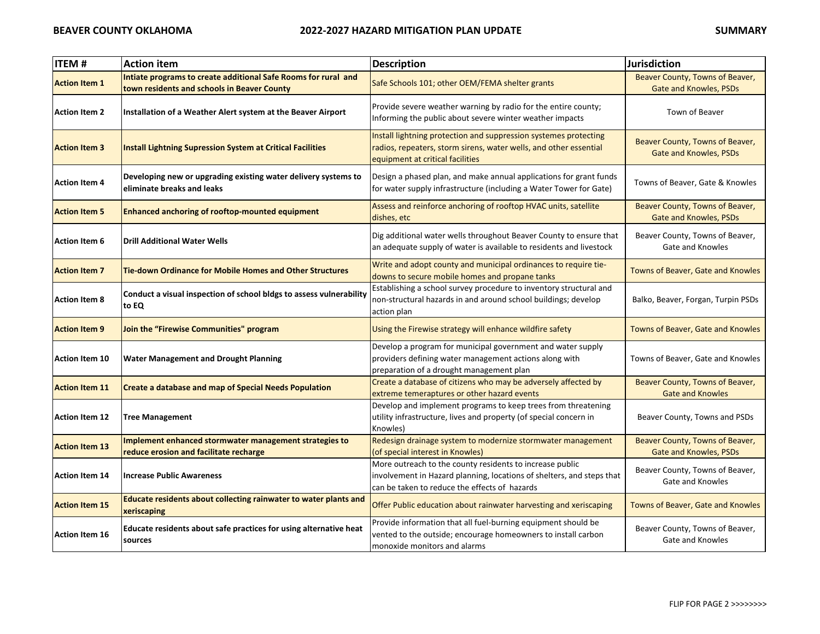| <b>ITEM#</b>          | <b>Action item</b>                                                                                            | <b>Description</b>                                                                                                                                                                 | <b>Jurisdiction</b>                                              |
|-----------------------|---------------------------------------------------------------------------------------------------------------|------------------------------------------------------------------------------------------------------------------------------------------------------------------------------------|------------------------------------------------------------------|
| <b>Action Item 1</b>  | Intiate programs to create additional Safe Rooms for rural and<br>town residents and schools in Beaver County | Safe Schools 101; other OEM/FEMA shelter grants                                                                                                                                    | Beaver County, Towns of Beaver,<br><b>Gate and Knowles, PSDs</b> |
| <b>Action Item 2</b>  | Installation of a Weather Alert system at the Beaver Airport                                                  | Provide severe weather warning by radio for the entire county;<br>Informing the public about severe winter weather impacts                                                         | Town of Beaver                                                   |
| <b>Action Item 3</b>  | <b>Install Lightning Supression System at Critical Facilities</b>                                             | Install lightning protection and suppression systemes protecting<br>radios, repeaters, storm sirens, water wells, and other essential<br>equipment at critical facilities          | Beaver County, Towns of Beaver,<br><b>Gate and Knowles, PSDs</b> |
| <b>Action Item 4</b>  | Developing new or upgrading existing water delivery systems to<br>eliminate breaks and leaks                  | Design a phased plan, and make annual applications for grant funds<br>for water supply infrastructure (including a Water Tower for Gate)                                           | Towns of Beaver, Gate & Knowles                                  |
| <b>Action Item 5</b>  | <b>Enhanced anchoring of rooftop-mounted equipment</b>                                                        | Assess and reinforce anchoring of rooftop HVAC units, satellite<br>dishes, etc                                                                                                     | Beaver County, Towns of Beaver,<br><b>Gate and Knowles, PSDs</b> |
| <b>Action Item 6</b>  | <b>Drill Additional Water Wells</b>                                                                           | Dig additional water wells throughout Beaver County to ensure that<br>an adequate supply of water is available to residents and livestock                                          | Beaver County, Towns of Beaver,<br>Gate and Knowles              |
| <b>Action Item 7</b>  | <b>Tie-down Ordinance for Mobile Homes and Other Structures</b>                                               | Write and adopt county and municipal ordinances to require tie-<br>downs to secure mobile homes and propane tanks                                                                  | Towns of Beaver, Gate and Knowles                                |
| <b>Action Item 8</b>  | Conduct a visual inspection of school bldgs to assess vulnerability<br>to EQ                                  | Establishing a school survey procedure to inventory structural and<br>non-structural hazards in and around school buildings; develop<br>action plan                                | Balko, Beaver, Forgan, Turpin PSDs                               |
| <b>Action Item 9</b>  | Join the "Firewise Communities" program                                                                       | Using the Firewise strategy will enhance wildfire safety                                                                                                                           | Towns of Beaver, Gate and Knowles                                |
| <b>Action Item 10</b> | <b>Water Management and Drought Planning</b>                                                                  | Develop a program for municipal government and water supply<br>providers defining water management actions along with<br>preparation of a drought management plan                  | Towns of Beaver, Gate and Knowles                                |
| <b>Action Item 11</b> | <b>Create a database and map of Special Needs Population</b>                                                  | Create a database of citizens who may be adversely affected by<br>extreme temeraptures or other hazard events                                                                      | Beaver County, Towns of Beaver,<br><b>Gate and Knowles</b>       |
| <b>Action Item 12</b> | <b>Tree Management</b>                                                                                        | Develop and implement programs to keep trees from threatening<br>utility infrastructure, lives and property (of special concern in<br>Knowles)                                     | Beaver County, Towns and PSDs                                    |
| <b>Action Item 13</b> | Implement enhanced stormwater management strategies to<br>reduce erosion and facilitate recharge              | Redesign drainage system to modernize stormwater management<br>(of special interest in Knowles)                                                                                    | Beaver County, Towns of Beaver,<br>Gate and Knowles, PSDs        |
| <b>Action Item 14</b> | <b>Increase Public Awareness</b>                                                                              | More outreach to the county residents to increase public<br>involvement in Hazard planning, locations of shelters, and steps that<br>can be taken to reduce the effects of hazards | Beaver County, Towns of Beaver,<br>Gate and Knowles              |
| <b>Action Item 15</b> | Educate residents about collecting rainwater to water plants and<br>xeriscaping                               | Offer Public education about rainwater harvesting and xeriscaping                                                                                                                  | Towns of Beaver, Gate and Knowles                                |
| <b>Action Item 16</b> | Educate residents about safe practices for using alternative heat<br>sources                                  | Provide information that all fuel-burning equipment should be<br>vented to the outside; encourage homeowners to install carbon<br>monoxide monitors and alarms                     | Beaver County, Towns of Beaver,<br>Gate and Knowles              |